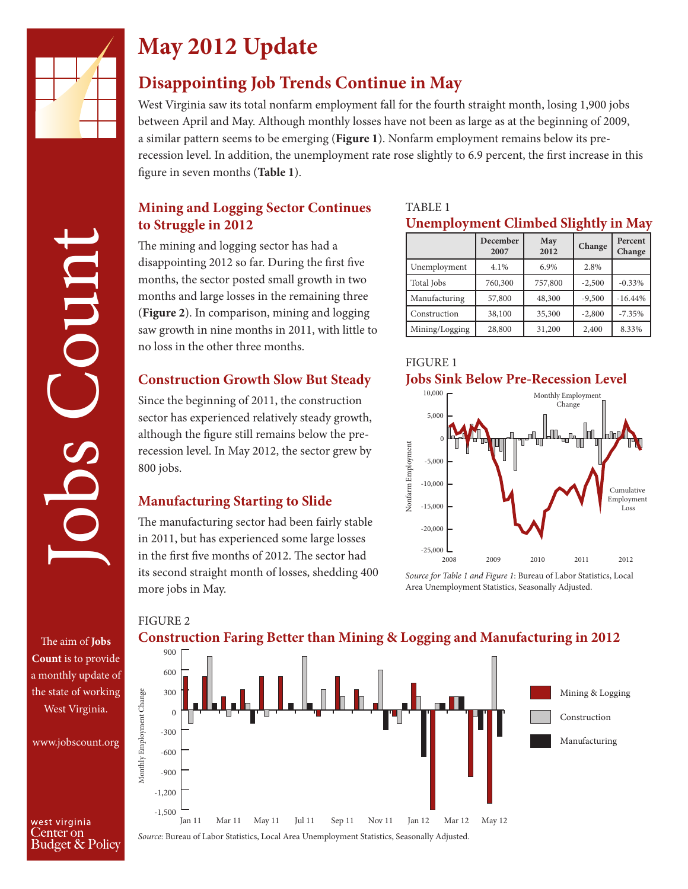

# **May 2012 Update**

## **Disappointing Job Trends Continue in May**

West Virginia saw its total nonfarm employment fall for the fourth straight month, losing 1,900 jobs between April and May. Although monthly losses have not been as large as at the beginning of 2009, a similar pattern seems to be emerging (**Figure 1**). Nonfarm employment remains below its prerecession level. In addition, the unemployment rate rose slightly to 6.9 percent, the first increase in this figure in seven months (**Table 1**).

#### **Mining and Logging Sector Continues to Struggle in 2012**

The mining and logging sector has had a disappointing 2012 so far. During the first five months, the sector posted small growth in two months and large losses in the remaining three (**Figure 2**). In comparison, mining and logging saw growth in nine months in 2011, with little to no loss in the other three months.

#### **Construction Growth Slow But Steady**

Since the beginning of 2011, the construction sector has experienced relatively steady growth, although the figure still remains below the prerecession level. In May 2012, the sector grew by 800 jobs.

#### **Manufacturing Starting to Slide**

FIGURE 2

The manufacturing sector had been fairly stable in 2011, but has experienced some large losses in the first five months of 2012. The sector had its second straight month of losses, shedding 400 more jobs in May.

#### TABLE 1

#### **Unemployment Climbed Slightly in May**

|                | December | May     |          | Percent   |
|----------------|----------|---------|----------|-----------|
|                | 2007     | 2012    | Change   | Change    |
| Unemployment   | 4.1%     | 6.9%    | 2.8%     |           |
| Total Jobs     | 760,300  | 757,800 | $-2,500$ | $-0.33%$  |
| Manufacturing  | 57,800   | 48,300  | $-9,500$ | $-16.44%$ |
| Construction   | 38,100   | 35,300  | $-2,800$ | $-7.35%$  |
| Mining/Logging | 28,800   | 31,200  | 2,400    | 8.33%     |





*Source for Table 1 and Figure 1*: Bureau of Labor Statistics, Local

The aim of **Jobs Count** is to provide a monthly update of the state of working West Virginia.

Jobs Count

huuo.

www.jobscount.org

west virginia Center on Budget & Policy



#### **Construction Faring Better than Mining & Logging and Manufacturing in 2012**

*Source*: Bureau of Labor Statistics, Local Area Unemployment Statistics, Seasonally Adjusted.